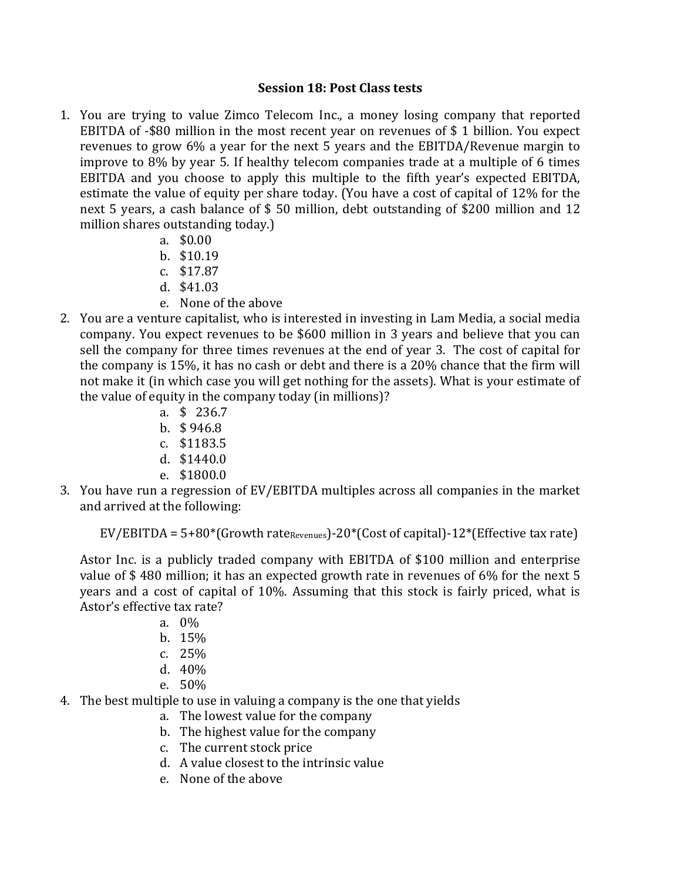## **Session 18: Post Class tests**

- 1. You are trying to value Zimco Telecom Inc., a money losing company that reported EBITDA of  $-$ \$80 million in the most recent year on revenues of \$1 billion. You expect revenues to grow  $6\%$  a year for the next 5 years and the EBITDA/Revenue margin to improve to  $8\%$  by year 5. If healthy telecom companies trade at a multiple of 6 times EBITDA and you choose to apply this multiple to the fifth year's expected EBITDA, estimate the value of equity per share today. (You have a cost of capital of 12% for the next 5 years, a cash balance of \$ 50 million, debt outstanding of \$200 million and 12 million shares outstanding today.)
	- a. \$0.00
	- b. \$10.19
	- c. \$17.87
	- d. \$41.03
	- e. None of the above
- 2. You are a venture capitalist, who is interested in investing in Lam Media, a social media company. You expect revenues to be \$600 million in 3 years and believe that you can sell the company for three times revenues at the end of year 3. The cost of capital for the company is  $15\%$ , it has no cash or debt and there is a  $20\%$  chance that the firm will not make it (in which case you will get nothing for the assets). What is your estimate of the value of equity in the company today (in millions)?
	- a. \$ 236.7
	- b. \$ 946.8
	- c. \$1183.5
	- d. \$1440.0
	- e. \$1800.0
- 3. You have run a regression of EV/EBITDA multiples across all companies in the market and arrived at the following:

 $EV/EBITDA = 5+80*(Growth rate_{Revalues})-20*(Cost of capital)-12*(Effective tax rate)$ 

Astor Inc. is a publicly traded company with EBITDA of \$100 million and enterprise value of  $$480$  million; it has an expected growth rate in revenues of  $6\%$  for the next 5 years and a cost of capital of 10%. Assuming that this stock is fairly priced, what is Astor's effective tax rate?

- a. 0%
- b. 15%
- c. 25%
- d. 40%
- e. 50%
- 4. The best multiple to use in valuing a company is the one that yields
	- a. The lowest value for the company
	- b. The highest value for the company
	- c. The current stock price
	- d. A value closest to the intrinsic value
	- e. None of the above